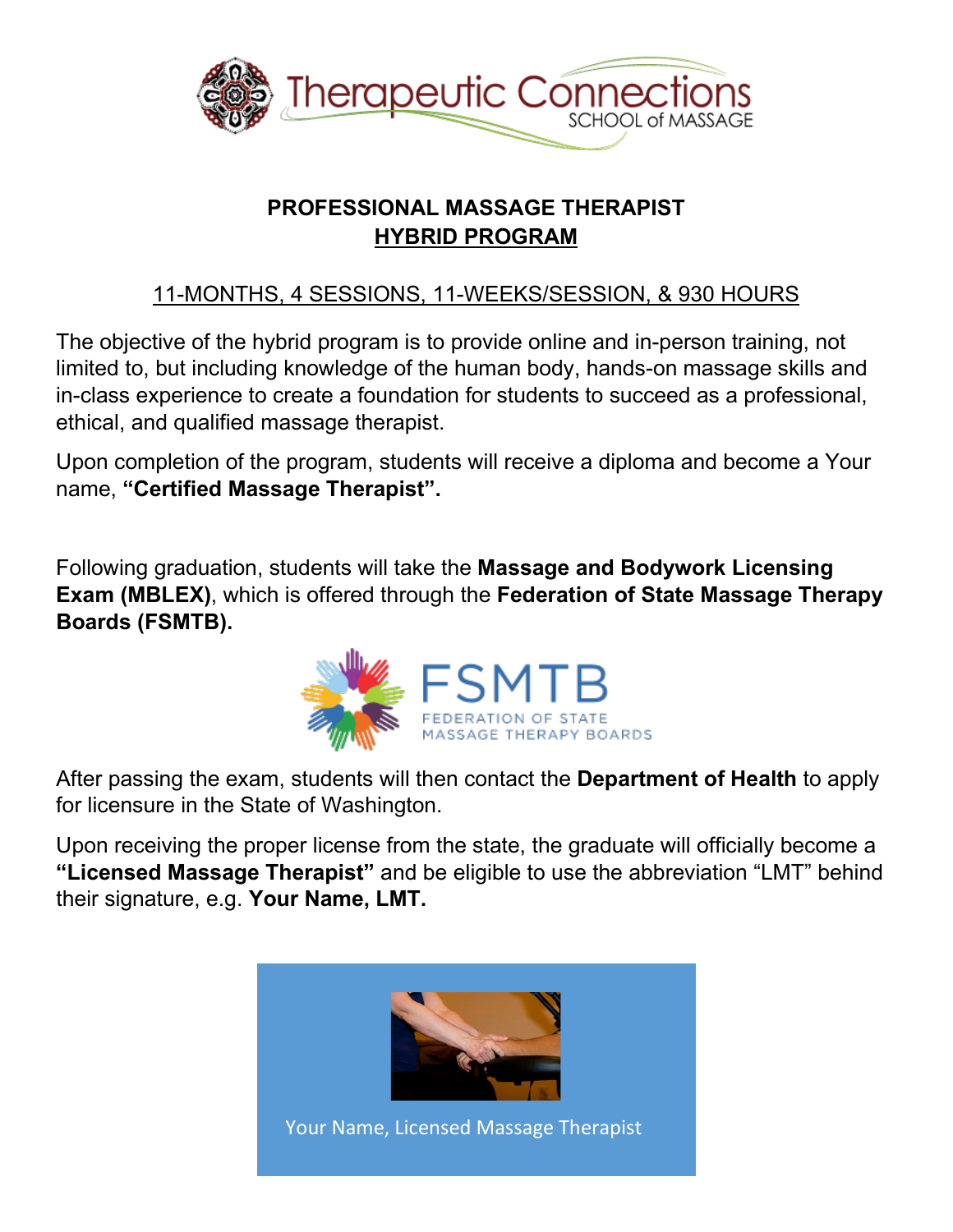

# **PROFESSIONAL MASSAGE THERAPIST HYBRID PROGRAM**

## 11-MONTHS, 4 SESSIONS, 11-WEEKS/SESSION, & 930 HOURS

The objective of the hybrid program is to provide online and in-person training, not limited to, but including knowledge of the human body, hands-on massage skills and in-class experience to create a foundation for students to succeed as a professional, ethical, and qualified massage therapist.

Upon completion of the program, students will receive a diploma and become a Your name, **"Certified Massage Therapist".**

Following graduation, students will take the **Massage and Bodywork Licensing Exam (MBLEX)**, which is offered through the **Federation of State Massage Therapy Boards (FSMTB).**



After passing the exam, students will then contact the **Department of Health** to apply for licensure in the State of Washington.

Upon receiving the proper license from the state, the graduate will officially become a **"Licensed Massage Therapist"** and be eligible to use the abbreviation "LMT" behind their signature, e.g. **Your Name, LMT.**

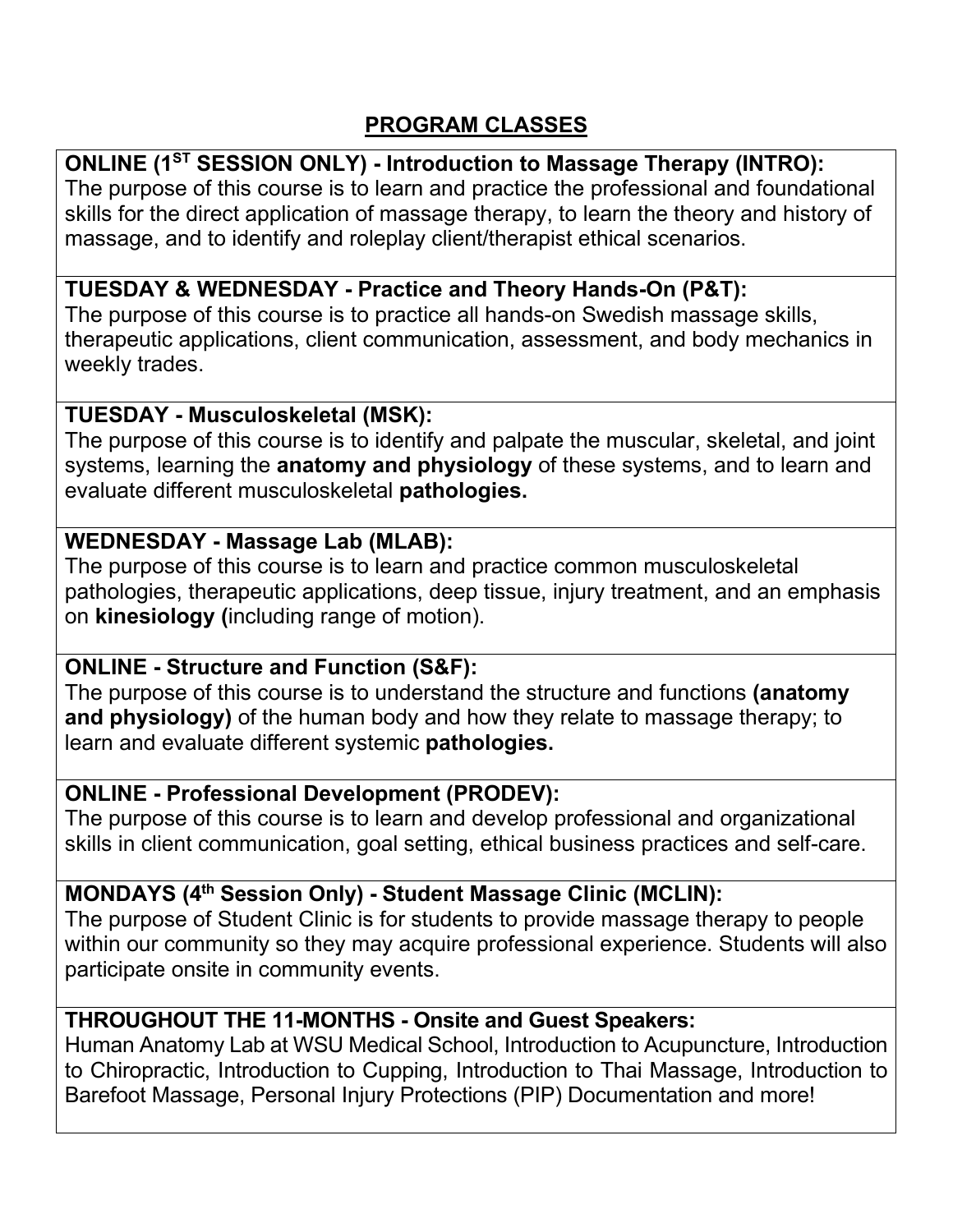## **PROGRAM CLASSES**

## **ONLINE (1ST SESSION ONLY) - Introduction to Massage Therapy (INTRO):**

The purpose of this course is to learn and practice the professional and foundational skills for the direct application of massage therapy, to learn the theory and history of massage, and to identify and roleplay client/therapist ethical scenarios.

### **TUESDAY & WEDNESDAY - Practice and Theory Hands-On (P&T):**

The purpose of this course is to practice all hands-on Swedish massage skills, therapeutic applications, client communication, assessment, and body mechanics in weekly trades.

#### **TUESDAY - Musculoskeletal (MSK):**

The purpose of this course is to identify and palpate the muscular, skeletal, and joint systems, learning the **anatomy and physiology** of these systems, and to learn and evaluate different musculoskeletal **pathologies.**

#### **WEDNESDAY - Massage Lab (MLAB):**

The purpose of this course is to learn and practice common musculoskeletal pathologies, therapeutic applications, deep tissue, injury treatment, and an emphasis on **kinesiology (**including range of motion).

#### **ONLINE - Structure and Function (S&F):**

The purpose of this course is to understand the structure and functions **(anatomy and physiology)** of the human body and how they relate to massage therapy; to learn and evaluate different systemic **pathologies.**

#### **ONLINE - Professional Development (PRODEV):**

The purpose of this course is to learn and develop professional and organizational skills in client communication, goal setting, ethical business practices and self-care.

#### **MONDAYS (4th Session Only) - Student Massage Clinic (MCLIN):**

The purpose of Student Clinic is for students to provide massage therapy to people within our community so they may acquire professional experience. Students will also participate onsite in community events.

## **THROUGHOUT THE 11-MONTHS - Onsite and Guest Speakers:**

Human Anatomy Lab at WSU Medical School, Introduction to Acupuncture, Introduction to Chiropractic, Introduction to Cupping, Introduction to Thai Massage, Introduction to Barefoot Massage, Personal Injury Protections (PIP) Documentation and more!